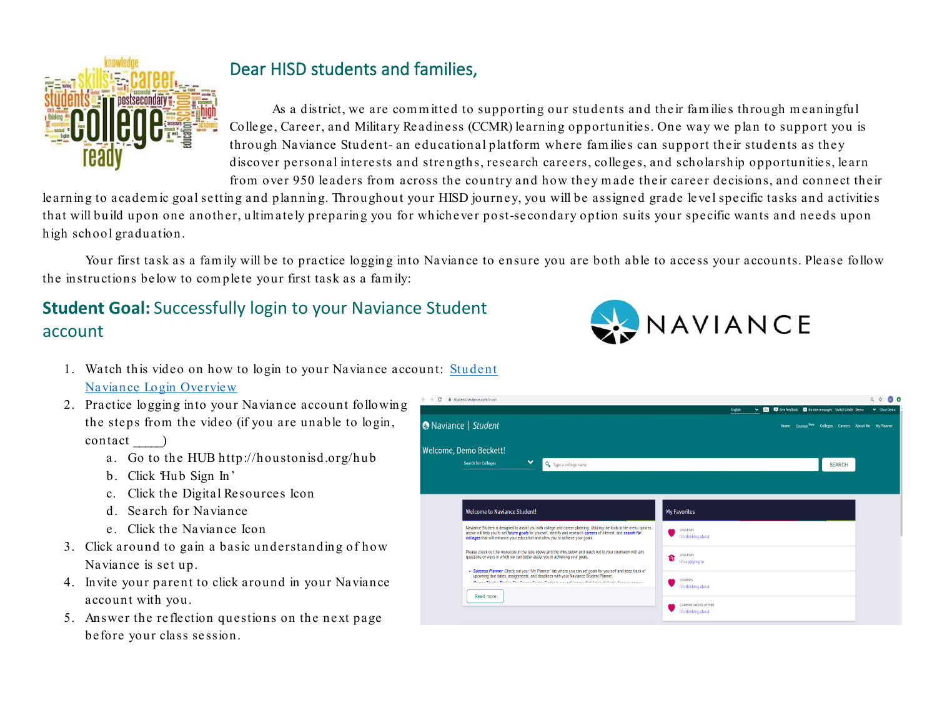

## Dear HISD students and families,

As a district, we are com m itted to supporting our students and their fam ilies through m eaningful College, Career, and Military Readiness (CCMR) learning opportunities. One way we plan to support you is through Naviance Student- an educational platform where fam ilies can support their students as they discover personal interests and strengths, research careers, colleges, and scholarship opportunities, learn from over 950 leaders from across the country and how they m ade their career decisions, and connect their

learning to academ ic goal setting and planning. Throughout your HISD journey, you will be assigned grade level specific tasks and activities that will build upon one another, ultim ately preparing you for whichever post-secondary option suits your specific wants and needs upon high school graduation.

Your first task as a family will be to practice logging into Naviance to ensure you are both able to access your accounts. Please follow the instructions below to com plete your first task as a fam ily:

## **Student Goal:** Successfully login to your Naviance Student account

- 1. Watch this video on how to login to your Naviance account: [Student](https://bit.ly/2S91WYU)  [Naviance Login Overview](https://bit.ly/2S91WYU)
- 2. Practice logging into your Naviance account following the steps from the video (if you are unable to login, contact \_\_\_\_\_)
	- a. Go to the HUB http://houstonisd.org/hub
	- b. Click 'Hub Sign In'
	- c. Click the Digital Resources Icon
	- d. Search for Naviance
	- e. Click the Naviance Icon
- 3. Click around to gain a basic understanding of how Naviance is set up.
- 4. Invite your parent to click around in your Naviance account with you.
- 5. Answer the reflection questions on the next page before your class session.



|                                                                                                                                                                                                                                                                                                                           | v Go D Give feedback KM No new messages Switch Grade: Demo<br>English<br>v Close Demo |
|---------------------------------------------------------------------------------------------------------------------------------------------------------------------------------------------------------------------------------------------------------------------------------------------------------------------------|---------------------------------------------------------------------------------------|
| Naviance   Student                                                                                                                                                                                                                                                                                                        | Home Courses New Colleges Careers About Me My Planner                                 |
| elcome, Demo Beckett!                                                                                                                                                                                                                                                                                                     |                                                                                       |
| $\checkmark$<br><b>Search for Colleges</b><br>Q Type a college name                                                                                                                                                                                                                                                       | <b>SEARCH</b>                                                                         |
|                                                                                                                                                                                                                                                                                                                           |                                                                                       |
|                                                                                                                                                                                                                                                                                                                           |                                                                                       |
| <b>Welcome to Naviance Student!</b>                                                                                                                                                                                                                                                                                       | My Favorites                                                                          |
|                                                                                                                                                                                                                                                                                                                           |                                                                                       |
| Naviance Student is designed to assist you with college and career planning. Utilizing the tools in the menu options<br>above will help you to set future goals for yourself, identify and research careers of interest, and search for<br>colleges that will enhance your education and allow you to achieve your goals. | COLLEGES<br>I'm thinking about                                                        |
| Please check out the resources in the tabs above and the links below and reach out to your counselor with any<br>questions or ways in which we can better assist you in achieving your goals:                                                                                                                             | COLLEGES<br>s<br>I'm applying to                                                      |
| . Success Planner. Check out your 'My Planner' tab where you can set goals for yourself and keep track of<br>upcoming due dates, assignments, and deadlines with your Naviance Student Planner.<br>Access Absolute Photos The Associa Absolut Photos in a consideration that have a distant absolute an except            | <b>COURSES</b><br>I'm thinking about                                                  |
| Read more                                                                                                                                                                                                                                                                                                                 | CAREERS AND CLUSTERS<br>I'm thinking about                                            |